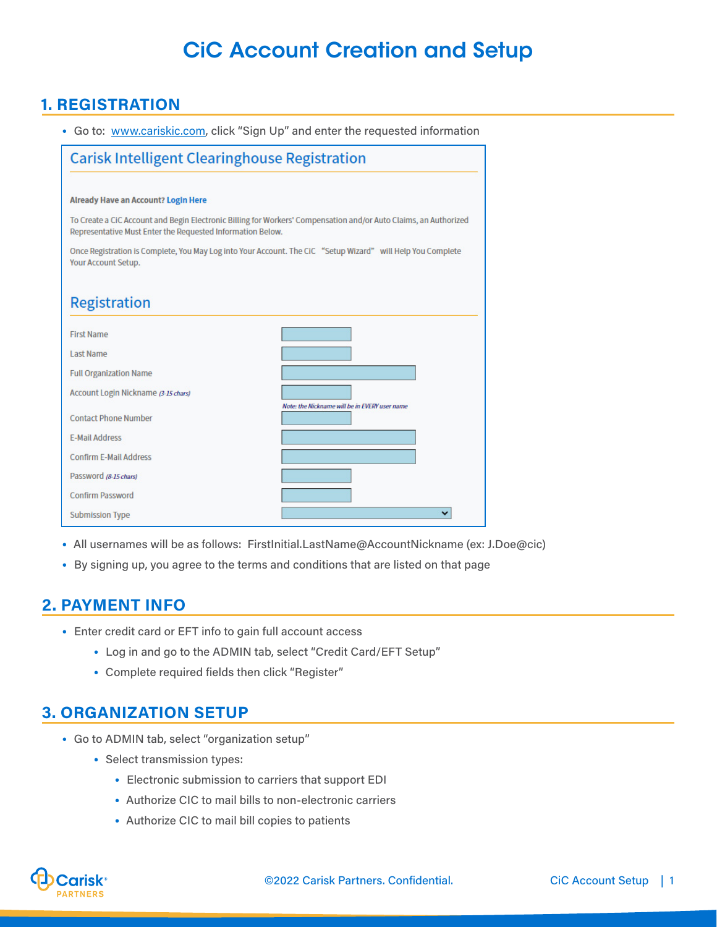# CiC Account Creation and Setup

## **1. REGISTRATION**

• Go to: <www.cariskic.com>, click "Sign Up" and enter the requested information

| <b>Carisk Intelligent Clearinghouse Registration</b>                                                                                                                           |                                               |
|--------------------------------------------------------------------------------------------------------------------------------------------------------------------------------|-----------------------------------------------|
|                                                                                                                                                                                |                                               |
| <b>Already Have an Account? Login Here</b>                                                                                                                                     |                                               |
| To Create a CiC Account and Begin Electronic Billing for Workers' Compensation and/or Auto Claims, an Authorized<br>Representative Must Enter the Requested Information Below. |                                               |
| Once Registration is Complete, You May Log into Your Account. The CiC "Setup Wizard" will Help You Complete<br><b>Your Account Setup.</b>                                      |                                               |
|                                                                                                                                                                                |                                               |
| <b>Registration</b>                                                                                                                                                            |                                               |
| <b>First Name</b>                                                                                                                                                              |                                               |
| <b>Last Name</b>                                                                                                                                                               |                                               |
| <b>Full Organization Name</b>                                                                                                                                                  |                                               |
| Account Login Nickname (3-15 chars)                                                                                                                                            |                                               |
| <b>Contact Phone Number</b>                                                                                                                                                    | Note: the Nickname will be in EVERY user name |
| <b>E-Mail Address</b>                                                                                                                                                          |                                               |
| <b>Confirm E-Mail Address</b>                                                                                                                                                  |                                               |
| Password (8-15 chars)                                                                                                                                                          |                                               |
| <b>Confirm Password</b>                                                                                                                                                        |                                               |
| <b>Submission Type</b>                                                                                                                                                         |                                               |

- All usernames will be as follows: FirstInitial.LastName@AccountNickname (ex: J.Doe@cic)
- By signing up, you agree to the terms and conditions that are listed on that page

### **2. PAYMENT INFO**

- Enter credit card or EFT info to gain full account access
	- Log in and go to the ADMIN tab, select "Credit Card/EFT Setup"
	- Complete required fields then click "Register"

### **3. ORGANIZATION SETUP**

- Go to ADMIN tab, select "organization setup"
	- Select transmission types:
		- Electronic submission to carriers that support EDI
		- Authorize CIC to mail bills to non-electronic carriers
		- Authorize CIC to mail bill copies to patients